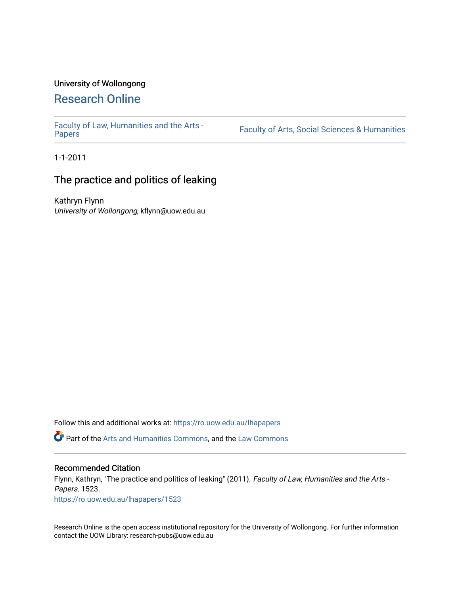## University of Wollongong

# [Research Online](https://ro.uow.edu.au/)

[Faculty of Law, Humanities and the Arts -](https://ro.uow.edu.au/lhapapers)

Faculty of Arts, Social Sciences & Humanities

1-1-2011

# The practice and politics of leaking

Kathryn Flynn University of Wollongong, kflynn@uow.edu.au

Follow this and additional works at: [https://ro.uow.edu.au/lhapapers](https://ro.uow.edu.au/lhapapers?utm_source=ro.uow.edu.au%2Flhapapers%2F1523&utm_medium=PDF&utm_campaign=PDFCoverPages) 

Part of the [Arts and Humanities Commons,](http://network.bepress.com/hgg/discipline/438?utm_source=ro.uow.edu.au%2Flhapapers%2F1523&utm_medium=PDF&utm_campaign=PDFCoverPages) and the [Law Commons](http://network.bepress.com/hgg/discipline/578?utm_source=ro.uow.edu.au%2Flhapapers%2F1523&utm_medium=PDF&utm_campaign=PDFCoverPages) 

#### Recommended Citation

Flynn, Kathryn, "The practice and politics of leaking" (2011). Faculty of Law, Humanities and the Arts - Papers. 1523.

[https://ro.uow.edu.au/lhapapers/1523](https://ro.uow.edu.au/lhapapers/1523?utm_source=ro.uow.edu.au%2Flhapapers%2F1523&utm_medium=PDF&utm_campaign=PDFCoverPages)

Research Online is the open access institutional repository for the University of Wollongong. For further information contact the UOW Library: research-pubs@uow.edu.au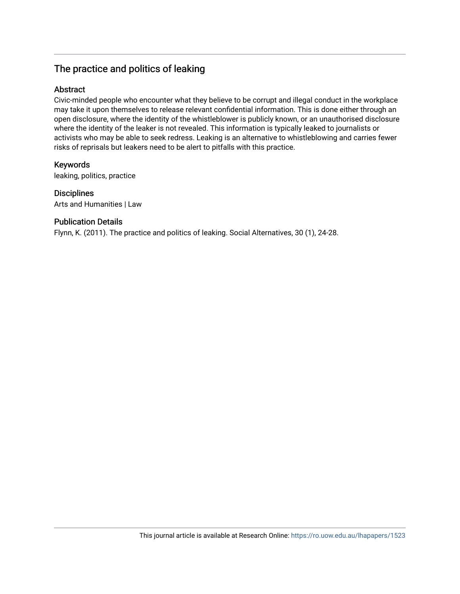# The practice and politics of leaking

### Abstract

Civic-minded people who encounter what they believe to be corrupt and illegal conduct in the workplace may take it upon themselves to release relevant confidential information. This is done either through an open disclosure, where the identity of the whistleblower is publicly known, or an unauthorised disclosure where the identity of the leaker is not revealed. This information is typically leaked to journalists or activists who may be able to seek redress. Leaking is an alternative to whistleblowing and carries fewer risks of reprisals but leakers need to be alert to pitfalls with this practice.

### Keywords

leaking, politics, practice

## **Disciplines**

Arts and Humanities | Law

### Publication Details

Flynn, K. (2011). The practice and politics of leaking. Social Alternatives, 30 (1), 24-28.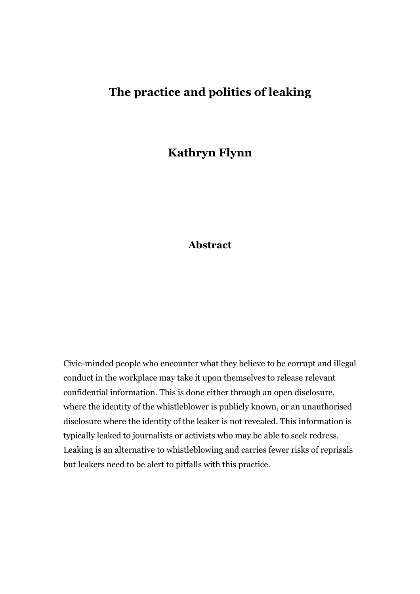# The practice and politics of leaking

Kathryn Flynn

## Abstract

Civic-minded people who encounter what they believe to be corrupt and illegal conduct in the workplace may take it upon themselves to release relevant confidential information. This is done either through an open disclosure, where the identity of the whistleblower is publicly known, or an unauthorised disclosure where the identity of the leaker is not revealed. This information is typically leaked to journalists or activists who may be able to seek redress. Leaking is an alternative to whistleblowing and carries fewer risks of reprisals but leakers need to be alert to pitfalls with this practice.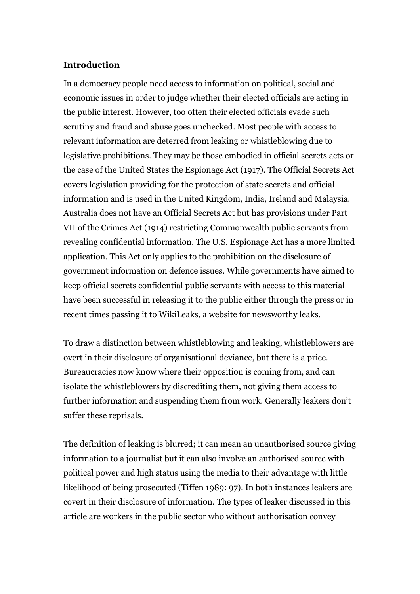### Introduction

In a democracy people need access to information on political, social and economic issues in order to judge whether their elected officials are acting in the public interest. However, too often their elected officials evade such scrutiny and fraud and abuse goes unchecked. Most people with access to relevant information are deterred from leaking or whistleblowing due to legislative prohibitions. They may be those embodied in official secrets acts or the case of the United States the Espionage Act (1917). The Official Secrets Act covers legislation providing for the protection of state secrets and official information and is used in the United Kingdom, India, Ireland and Malaysia. Australia does not have an Official Secrets Act but has provisions under Part VII of the Crimes Act (1914) restricting Commonwealth public servants from revealing confidential information. The U.S. Espionage Act has a more limited application. This Act only applies to the prohibition on the disclosure of government information on defence issues. While governments have aimed to keep official secrets confidential public servants with access to this material have been successful in releasing it to the public either through the press or in recent times passing it to WikiLeaks, a website for newsworthy leaks.

To draw a distinction between whistleblowing and leaking, whistleblowers are overt in their disclosure of organisational deviance, but there is a price. Bureaucracies now know where their opposition is coming from, and can isolate the whistleblowers by discrediting them, not giving them access to further information and suspending them from work. Generally leakers don't suffer these reprisals.

The definition of leaking is blurred; it can mean an unauthorised source giving information to a journalist but it can also involve an authorised source with political power and high status using the media to their advantage with little likelihood of being prosecuted (Tiffen 1989: 97). In both instances leakers are covert in their disclosure of information. The types of leaker discussed in this article are workers in the public sector who without authorisation convey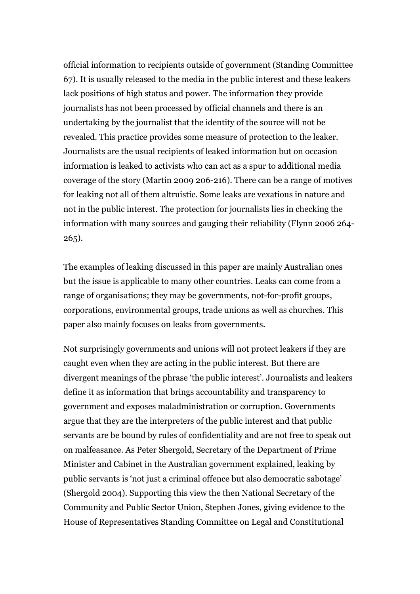official information to recipients outside of government (Standing Committee 67). It is usually released to the media in the public interest and these leakers lack positions of high status and power. The information they provide journalists has not been processed by official channels and there is an undertaking by the journalist that the identity of the source will not be revealed. This practice provides some measure of protection to the leaker. Journalists are the usual recipients of leaked information but on occasion information is leaked to activists who can act as a spur to additional media coverage of the story (Martin 2009 206-216). There can be a range of motives for leaking not all of them altruistic. Some leaks are vexatious in nature and not in the public interest. The protection for journalists lies in checking the information with many sources and gauging their reliability (Flynn 2006 264- 265).

The examples of leaking discussed in this paper are mainly Australian ones but the issue is applicable to many other countries. Leaks can come from a range of organisations; they may be governments, not-for-profit groups, corporations, environmental groups, trade unions as well as churches. This paper also mainly focuses on leaks from governments.

Not surprisingly governments and unions will not protect leakers if they are caught even when they are acting in the public interest. But there are divergent meanings of the phrase 'the public interest'. Journalists and leakers define it as information that brings accountability and transparency to government and exposes maladministration or corruption. Governments argue that they are the interpreters of the public interest and that public servants are be bound by rules of confidentiality and are not free to speak out on malfeasance. As Peter Shergold, Secretary of the Department of Prime Minister and Cabinet in the Australian government explained, leaking by public servants is 'not just a criminal offence but also democratic sabotage' (Shergold 2004). Supporting this view the then National Secretary of the Community and Public Sector Union, Stephen Jones, giving evidence to the House of Representatives Standing Committee on Legal and Constitutional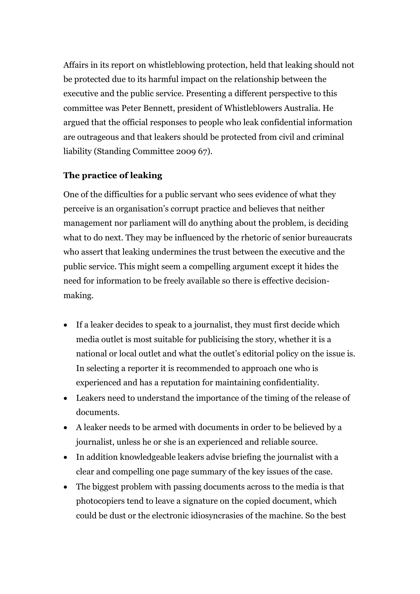Affairs in its report on whistleblowing protection, held that leaking should not be protected due to its harmful impact on the relationship between the executive and the public service. Presenting a different perspective to this committee was Peter Bennett, president of Whistleblowers Australia. He argued that the official responses to people who leak confidential information are outrageous and that leakers should be protected from civil and criminal liability (Standing Committee 2009 67).

## The practice of leaking

One of the difficulties for a public servant who sees evidence of what they perceive is an organisation's corrupt practice and believes that neither management nor parliament will do anything about the problem, is deciding what to do next. They may be influenced by the rhetoric of senior bureaucrats who assert that leaking undermines the trust between the executive and the public service. This might seem a compelling argument except it hides the need for information to be freely available so there is effective decisionmaking.

- If a leaker decides to speak to a journalist, they must first decide which media outlet is most suitable for publicising the story, whether it is a national or local outlet and what the outlet's editorial policy on the issue is. In selecting a reporter it is recommended to approach one who is experienced and has a reputation for maintaining confidentiality.
- Leakers need to understand the importance of the timing of the release of documents.
- A leaker needs to be armed with documents in order to be believed by a journalist, unless he or she is an experienced and reliable source.
- In addition knowledgeable leakers advise briefing the journalist with a clear and compelling one page summary of the key issues of the case.
- The biggest problem with passing documents across to the media is that photocopiers tend to leave a signature on the copied document, which could be dust or the electronic idiosyncrasies of the machine. So the best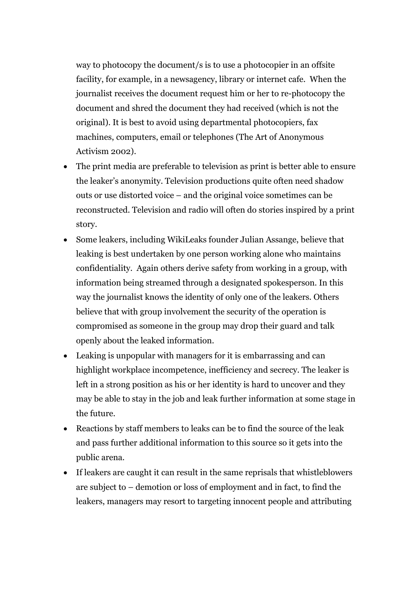way to photocopy the document/s is to use a photocopier in an offsite facility, for example, in a newsagency, library or internet cafe. When the journalist receives the document request him or her to re-photocopy the document and shred the document they had received (which is not the original). It is best to avoid using departmental photocopiers, fax machines, computers, email or telephones (The Art of Anonymous Activism 2002).

- The print media are preferable to television as print is better able to ensure the leaker's anonymity. Television productions quite often need shadow outs or use distorted voice – and the original voice sometimes can be reconstructed. Television and radio will often do stories inspired by a print story.
- Some leakers, including WikiLeaks founder Julian Assange, believe that leaking is best undertaken by one person working alone who maintains confidentiality. Again others derive safety from working in a group, with information being streamed through a designated spokesperson. In this way the journalist knows the identity of only one of the leakers. Others believe that with group involvement the security of the operation is compromised as someone in the group may drop their guard and talk openly about the leaked information.
- Leaking is unpopular with managers for it is embarrassing and can highlight workplace incompetence, inefficiency and secrecy. The leaker is left in a strong position as his or her identity is hard to uncover and they may be able to stay in the job and leak further information at some stage in the future.
- Reactions by staff members to leaks can be to find the source of the leak and pass further additional information to this source so it gets into the public arena.
- If leakers are caught it can result in the same reprisals that whistleblowers are subject to – demotion or loss of employment and in fact, to find the leakers, managers may resort to targeting innocent people and attributing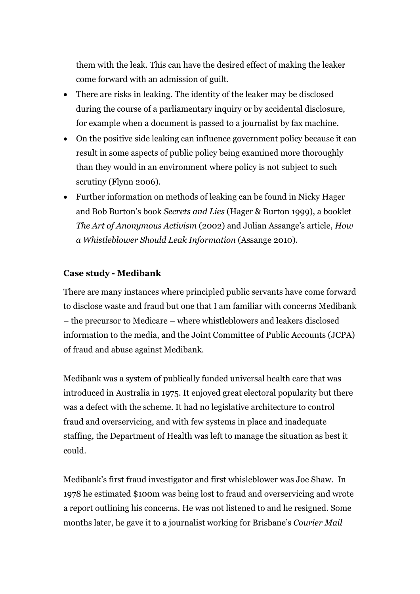them with the leak. This can have the desired effect of making the leaker come forward with an admission of guilt.

- There are risks in leaking. The identity of the leaker may be disclosed during the course of a parliamentary inquiry or by accidental disclosure, for example when a document is passed to a journalist by fax machine.
- On the positive side leaking can influence government policy because it can result in some aspects of public policy being examined more thoroughly than they would in an environment where policy is not subject to such scrutiny (Flynn 2006).
- Further information on methods of leaking can be found in Nicky Hager and Bob Burton's book Secrets and Lies (Hager & Burton 1999), a booklet The Art of Anonymous Activism (2002) and Julian Assange's article, How a Whistleblower Should Leak Information (Assange 2010).

## Case study - Medibank

There are many instances where principled public servants have come forward to disclose waste and fraud but one that I am familiar with concerns Medibank – the precursor to Medicare – where whistleblowers and leakers disclosed information to the media, and the Joint Committee of Public Accounts (JCPA) of fraud and abuse against Medibank.

Medibank was a system of publically funded universal health care that was introduced in Australia in 1975. It enjoyed great electoral popularity but there was a defect with the scheme. It had no legislative architecture to control fraud and overservicing, and with few systems in place and inadequate staffing, the Department of Health was left to manage the situation as best it could.

Medibank's first fraud investigator and first whisleblower was Joe Shaw. In 1978 he estimated \$100m was being lost to fraud and overservicing and wrote a report outlining his concerns. He was not listened to and he resigned. Some months later, he gave it to a journalist working for Brisbane's Courier Mail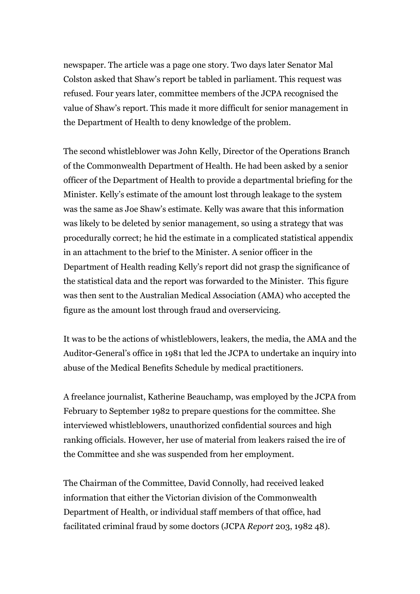newspaper. The article was a page one story. Two days later Senator Mal Colston asked that Shaw's report be tabled in parliament. This request was refused. Four years later, committee members of the JCPA recognised the value of Shaw's report. This made it more difficult for senior management in the Department of Health to deny knowledge of the problem.

The second whistleblower was John Kelly, Director of the Operations Branch of the Commonwealth Department of Health. He had been asked by a senior officer of the Department of Health to provide a departmental briefing for the Minister. Kelly's estimate of the amount lost through leakage to the system was the same as Joe Shaw's estimate. Kelly was aware that this information was likely to be deleted by senior management, so using a strategy that was procedurally correct; he hid the estimate in a complicated statistical appendix in an attachment to the brief to the Minister. A senior officer in the Department of Health reading Kelly's report did not grasp the significance of the statistical data and the report was forwarded to the Minister. This figure was then sent to the Australian Medical Association (AMA) who accepted the figure as the amount lost through fraud and overservicing.

It was to be the actions of whistleblowers, leakers, the media, the AMA and the Auditor-General's office in 1981 that led the JCPA to undertake an inquiry into abuse of the Medical Benefits Schedule by medical practitioners.

A freelance journalist, Katherine Beauchamp, was employed by the JCPA from February to September 1982 to prepare questions for the committee. She interviewed whistleblowers, unauthorized confidential sources and high ranking officials. However, her use of material from leakers raised the ire of the Committee and she was suspended from her employment.

The Chairman of the Committee, David Connolly, had received leaked information that either the Victorian division of the Commonwealth Department of Health, or individual staff members of that office, had facilitated criminal fraud by some doctors (JCPA Report 203, 1982 48).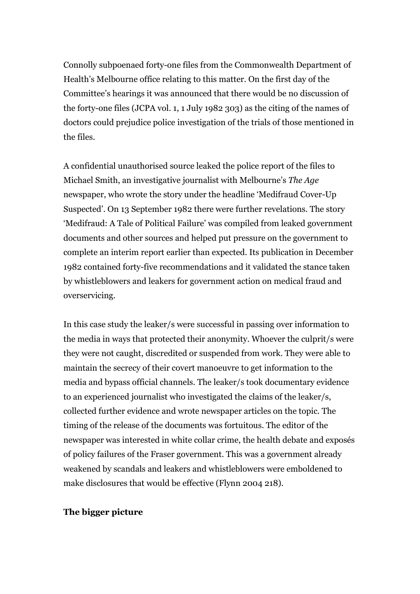Connolly subpoenaed forty-one files from the Commonwealth Department of Health's Melbourne office relating to this matter. On the first day of the Committee's hearings it was announced that there would be no discussion of the forty-one files (JCPA vol. 1, 1 July 1982 303) as the citing of the names of doctors could prejudice police investigation of the trials of those mentioned in the files.

A confidential unauthorised source leaked the police report of the files to Michael Smith, an investigative journalist with Melbourne's The Age newspaper, who wrote the story under the headline 'Medifraud Cover-Up Suspected'. On 13 September 1982 there were further revelations. The story 'Medifraud: A Tale of Political Failure' was compiled from leaked government documents and other sources and helped put pressure on the government to complete an interim report earlier than expected. Its publication in December 1982 contained forty-five recommendations and it validated the stance taken by whistleblowers and leakers for government action on medical fraud and overservicing.

In this case study the leaker/s were successful in passing over information to the media in ways that protected their anonymity. Whoever the culprit/s were they were not caught, discredited or suspended from work. They were able to maintain the secrecy of their covert manoeuvre to get information to the media and bypass official channels. The leaker/s took documentary evidence to an experienced journalist who investigated the claims of the leaker/s, collected further evidence and wrote newspaper articles on the topic. The timing of the release of the documents was fortuitous. The editor of the newspaper was interested in white collar crime, the health debate and exposés of policy failures of the Fraser government. This was a government already weakened by scandals and leakers and whistleblowers were emboldened to make disclosures that would be effective (Flynn 2004 218).

### The bigger picture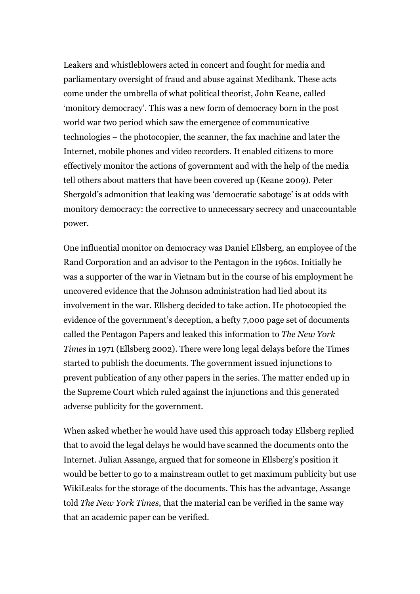Leakers and whistleblowers acted in concert and fought for media and parliamentary oversight of fraud and abuse against Medibank. These acts come under the umbrella of what political theorist, John Keane, called 'monitory democracy'. This was a new form of democracy born in the post world war two period which saw the emergence of communicative technologies – the photocopier, the scanner, the fax machine and later the Internet, mobile phones and video recorders. It enabled citizens to more effectively monitor the actions of government and with the help of the media tell others about matters that have been covered up (Keane 2009). Peter Shergold's admonition that leaking was 'democratic sabotage' is at odds with monitory democracy: the corrective to unnecessary secrecy and unaccountable power.

One influential monitor on democracy was Daniel Ellsberg, an employee of the Rand Corporation and an advisor to the Pentagon in the 1960s. Initially he was a supporter of the war in Vietnam but in the course of his employment he uncovered evidence that the Johnson administration had lied about its involvement in the war. Ellsberg decided to take action. He photocopied the evidence of the government's deception, a hefty 7,000 page set of documents called the Pentagon Papers and leaked this information to The New York Times in 1971 (Ellsberg 2002). There were long legal delays before the Times started to publish the documents. The government issued injunctions to prevent publication of any other papers in the series. The matter ended up in the Supreme Court which ruled against the injunctions and this generated adverse publicity for the government.

When asked whether he would have used this approach today Ellsberg replied that to avoid the legal delays he would have scanned the documents onto the Internet. Julian Assange, argued that for someone in Ellsberg's position it would be better to go to a mainstream outlet to get maximum publicity but use WikiLeaks for the storage of the documents. This has the advantage, Assange told The New York Times, that the material can be verified in the same way that an academic paper can be verified.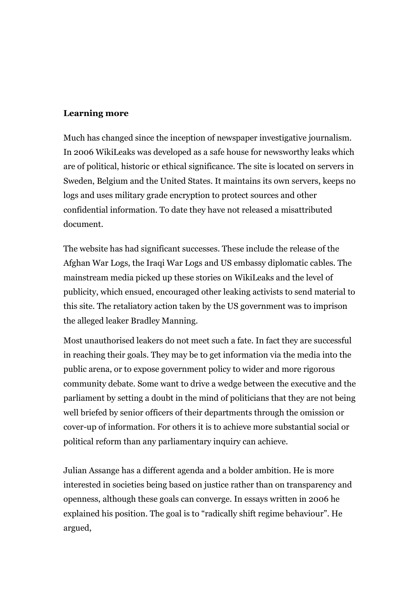### Learning more

Much has changed since the inception of newspaper investigative journalism. In 2006 WikiLeaks was developed as a safe house for newsworthy leaks which are of political, historic or ethical significance. The site is located on servers in Sweden, Belgium and the United States. It maintains its own servers, keeps no logs and uses military grade encryption to protect sources and other confidential information. To date they have not released a misattributed document.

The website has had significant successes. These include the release of the Afghan War Logs, the Iraqi War Logs and US embassy diplomatic cables. The mainstream media picked up these stories on WikiLeaks and the level of publicity, which ensued, encouraged other leaking activists to send material to this site. The retaliatory action taken by the US government was to imprison the alleged leaker Bradley Manning.

Most unauthorised leakers do not meet such a fate. In fact they are successful in reaching their goals. They may be to get information via the media into the public arena, or to expose government policy to wider and more rigorous community debate. Some want to drive a wedge between the executive and the parliament by setting a doubt in the mind of politicians that they are not being well briefed by senior officers of their departments through the omission or cover-up of information. For others it is to achieve more substantial social or political reform than any parliamentary inquiry can achieve.

Julian Assange has a different agenda and a bolder ambition. He is more interested in societies being based on justice rather than on transparency and openness, although these goals can converge. In essays written in 2006 he explained his position. The goal is to "radically shift regime behaviour". He argued,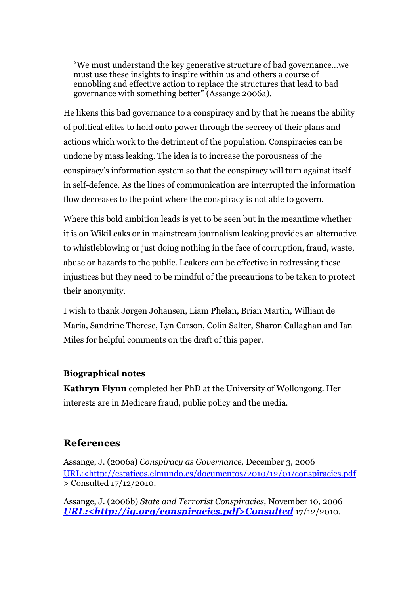"We must understand the key generative structure of bad governance...we must use these insights to inspire within us and others a course of ennobling and effective action to replace the structures that lead to bad governance with something better" (Assange 2006a).

He likens this bad governance to a conspiracy and by that he means the ability of political elites to hold onto power through the secrecy of their plans and actions which work to the detriment of the population. Conspiracies can be undone by mass leaking. The idea is to increase the porousness of the conspiracy's information system so that the conspiracy will turn against itself in self-defence. As the lines of communication are interrupted the information flow decreases to the point where the conspiracy is not able to govern.

Where this bold ambition leads is yet to be seen but in the meantime whether it is on WikiLeaks or in mainstream journalism leaking provides an alternative to whistleblowing or just doing nothing in the face of corruption, fraud, waste, abuse or hazards to the public. Leakers can be effective in redressing these injustices but they need to be mindful of the precautions to be taken to protect their anonymity.

I wish to thank Jørgen Johansen, Liam Phelan, Brian Martin, William de Maria, Sandrine Therese, Lyn Carson, Colin Salter, Sharon Callaghan and Ian Miles for helpful comments on the draft of this paper.

## Biographical notes

Kathryn Flynn completed her PhD at the University of Wollongong. Her interests are in Medicare fraud, public policy and the media.

# References

Assange, J. (2006a) Conspiracy as Governance, December 3, 2006 URL:<http://estaticos.elmundo.es/documentos/2010/12/01/conspiracies.pdf > Consulted 17/12/2010.

Assange, J. (2006b) State and Terrorist Conspiracies, November 10, 2006 URL:<http://iq.org/conspiracies.pdf>Consulted 17/12/2010.